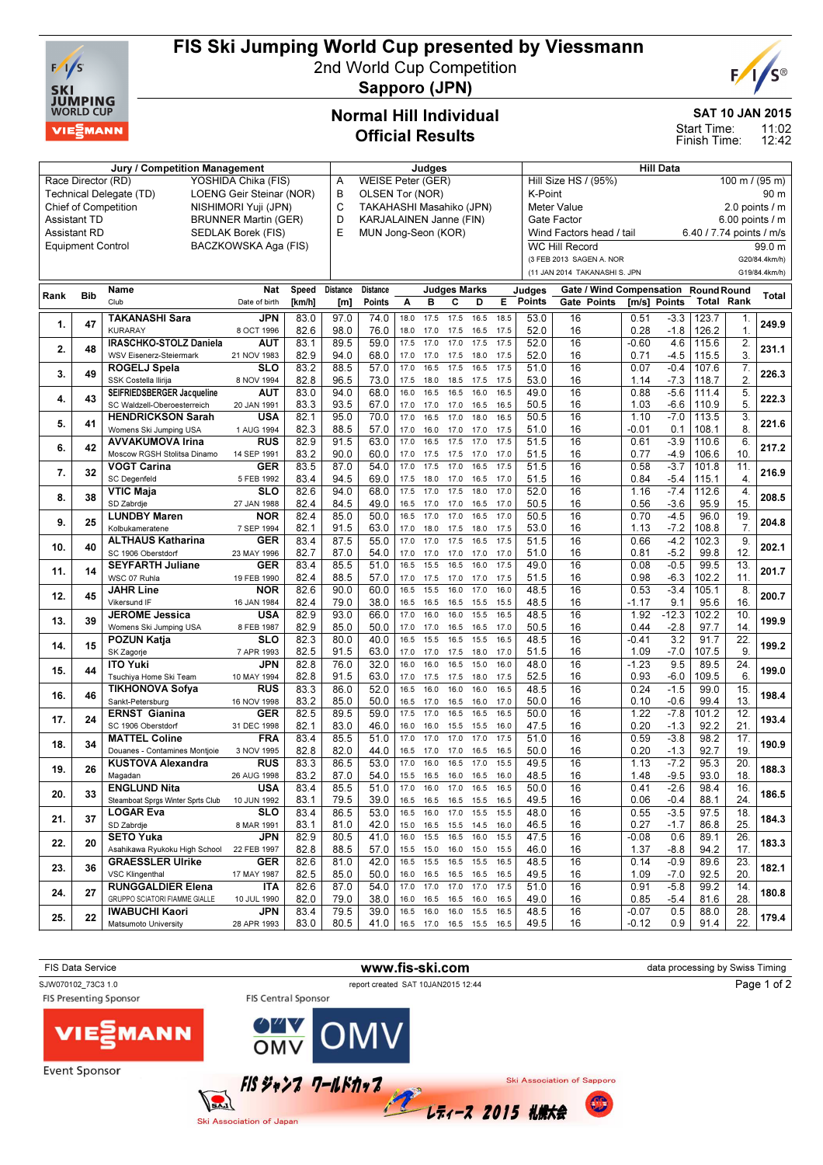

## FIS Ski Jumping World Cup presented by Viessmann

2nd World Cup Competition Sapporo (JPN)



SAT 10 JAN 2015

11:02 12:42 Start Time: Finish Time:

## Normal Hill Individual Official Results

| Jury / Competition Management                       |                          |                                   |                      |        | Judges                               |                                        |           |           |                          |           |      |                                                  | <b>Hill Data</b>              |              |                 |                                         |                  |               |  |
|-----------------------------------------------------|--------------------------|-----------------------------------|----------------------|--------|--------------------------------------|----------------------------------------|-----------|-----------|--------------------------|-----------|------|--------------------------------------------------|-------------------------------|--------------|-----------------|-----------------------------------------|------------------|---------------|--|
| YOSHIDA Chika (FIS)<br>Race Director (RD)           |                          |                                   |                      |        | <b>WEISE Peter (GER)</b><br>Α        |                                        |           |           |                          |           |      | Hill Size HS / (95%)<br>$100 \text{ m}$ / (95 m) |                               |              |                 |                                         |                  |               |  |
| Technical Delegate (TD)<br>LOENG Geir Steinar (NOR) |                          |                                   |                      |        | В<br>OLSEN Tor (NOR)                 |                                        |           |           |                          |           |      | K-Point<br>90 m                                  |                               |              |                 |                                         |                  |               |  |
| <b>Chief of Competition</b><br>NISHIMORI Yuji (JPN) |                          |                                   |                      |        | C<br><b>TAKAHASHI Masahiko (JPN)</b> |                                        |           |           |                          |           |      | 2.0 points / m<br>Meter Value                    |                               |              |                 |                                         |                  |               |  |
| <b>Assistant TD</b><br><b>BRUNNER Martin (GER)</b>  |                          |                                   |                      |        | D                                    | KARJALAINEN Janne (FIN)<br>Gate Factor |           |           |                          |           |      |                                                  |                               |              | 6.00 points / m |                                         |                  |               |  |
|                                                     | <b>Assistant RD</b>      |                                   | SEDLAK Borek (FIS)   |        | E                                    | MUN Jong-Seon (KOR)                    |           |           |                          |           |      |                                                  | Wind Factors head / tail      |              |                 | 6.40 / 7.74 points / m/s                |                  |               |  |
|                                                     | <b>Equipment Control</b> |                                   | BACZKOWSKA Aga (FIS) |        |                                      |                                        |           |           |                          |           |      |                                                  | <b>WC Hill Record</b>         |              |                 |                                         |                  | 99.0 m        |  |
|                                                     |                          |                                   |                      |        |                                      |                                        |           |           |                          |           |      |                                                  | (3 FEB 2013 SAGEN A. NOR      |              |                 |                                         |                  | G20/84.4km/h) |  |
|                                                     |                          |                                   |                      |        |                                      |                                        |           |           |                          |           |      |                                                  | (11 JAN 2014 TAKANASHI S. JPN |              |                 |                                         |                  | G19/84.4km/h) |  |
|                                                     |                          | <b>Name</b>                       | <b>Nat</b>           | Speed  | <b>Distance</b>                      | <b>Distance</b>                        |           |           | <b>Judges Marks</b>      |           |      |                                                  | Gate / Wind Compensation      |              |                 |                                         |                  |               |  |
| Rank                                                | <b>Bib</b>               | Club                              | Date of birth        | [km/h] | [m]                                  | Points                                 | Α         | B         | C                        | D         | E.   | Judges<br><b>Points</b>                          | Gate Points                   | [m/s] Points |                 | <b>Round Round</b><br><b>Total Rank</b> |                  | Total         |  |
|                                                     |                          |                                   |                      |        |                                      |                                        |           |           |                          |           |      |                                                  |                               |              |                 |                                         |                  |               |  |
| 1.                                                  | 47                       | <b>TAKANASHI Sara</b>             | JPN                  | 83.0   | 97.0                                 | 74.0                                   | 18.0      | 17.5      | 17.5                     | 16.5      | 18.5 | 53.0                                             | 16                            | 0.51         | $-3.3$          | 123.7                                   | 1.               | 249.9         |  |
|                                                     |                          | <b>KURARAY</b>                    | 8 OCT 1996           | 82.6   | 98.0                                 | 76.0                                   | 18.0      | 17.0      | 17.5                     | 16.5      | 17.5 | 52.0                                             | 16                            | 0.28         | $-1.8$          | 126.2                                   | 1.               |               |  |
| 2.                                                  | 48                       | <b>IRASCHKO-STOLZ Daniela</b>     | AUT                  | 83.1   | 89.5                                 | 59.0                                   | 17.5      | 17.0      | 17.0                     | 17.5      | 17.5 | 52.0                                             | 16                            | $-0.60$      | 4.6             | 115.6                                   | 2.               | 231.1         |  |
|                                                     |                          | WSV Eisenerz-Steiermark           | 21 NOV 1983          | 82.9   | 94.0                                 | 68.0                                   | 17.0      | 17.0      | 17.5                     | 18.0      | 17.5 | 52.0                                             | 16                            | 0.71         | -4.5            | 115.5                                   | 3.               |               |  |
| 3.                                                  | 49                       | ROGELJ Spela                      | <b>SLO</b>           | 83.2   | 88.5                                 | 57.0                                   | 17.0      | 16.5      | 17.5                     | 16.5      | 17.5 | 51.0                                             | 16                            | 0.07         | $-0.4$          | 107.6                                   | 7.               | 226.3         |  |
|                                                     |                          | SSK Costella Ilirija              | 8 NOV 1994           | 82.8   | 96.5                                 | 73.0                                   | 17.5      | 18.0      | 18.5                     | 17.5      | 17.5 | 53.0                                             | 16                            | 1.14         | $-7.3$          | 118.7                                   | 2.               |               |  |
| 4.                                                  | 43                       | SEIFRIEDSBERGER Jacqueline        | <b>AUT</b>           | 83.0   | 94.0                                 | 68.0                                   | 16.0      | 16.5      | 16.5                     | 16.0      | 16.5 | 49.0                                             | 16                            | 0.88         | $-5.6$          | 111.4                                   | $\overline{5}$   | 222.3         |  |
|                                                     |                          | SC Waldzell-Oberoesterreich       | 20 JAN 1991          | 83.3   | 93.5                                 | 67.0                                   | 17.0      | 17.0      | 17.0                     | 16.5      | 16.5 | 50.5                                             | 16                            | 1.03         | $-6.6$          | 110.9                                   | 5.               |               |  |
| 5.                                                  | 41                       | <b>HENDRICKSON Sarah</b>          | <b>USA</b>           | 82.1   | 95.0                                 | 70.0                                   | 17.0      | 16.5      | 17.0                     | 18.0      | 16.5 | 50.5                                             | 16                            | 1.10         | $-7.0$          | 113.5                                   | 3.               | 221.6         |  |
|                                                     |                          | Womens Ski Jumping USA            | 1 AUG 1994           | 82.3   | 88.5                                 | 57.0                                   | 17.0      | 16.0      | 17.0                     | 17.0      | 17.5 | 51.0                                             | 16                            | $-0.01$      | 0.1             | 108.1                                   | 8                |               |  |
| 6.                                                  | 42                       | <b>AVVAKUMOVA Irina</b>           | RUS                  | 82.9   | 91.5                                 | 63.0                                   | 17.0      | 16.5      | 17.5                     | 17.0      | 17.5 | 51.5                                             | 16                            | 0.61         | $-3.9$          | 110.6                                   | 6.               | 217.2         |  |
|                                                     |                          | Moscow RGSH Stolitsa Dinamo       | 14 SEP 1991          | 83.2   | 90.0                                 | 60.0                                   | 17.0      | 17.5      | 17.5                     | 17.0      | 17.0 | 51.5                                             | 16                            | 0.77         | -4.9            | 106.6                                   | 10.              |               |  |
| 7.                                                  | 32                       | <b>VOGT Carina</b>                | GER                  | 83.5   | 87.0                                 | 54.0                                   | 17.0      | 17.5      | 17.0                     | 16.5      | 17.5 | 51.5                                             | 16                            | 0.58         | $-3.7$          | 101.8                                   | 11.              | 216.9         |  |
|                                                     |                          | <b>SC</b> Degenfeld               | 5 FEB 1992           | 83.4   | 94.5                                 | 69.0                                   | 17.5      | 18.0      | 17.0                     | 16.5      | 17.0 | 51.5                                             | 16                            | 0.84         | $-5.4$          | 115.1                                   | $\overline{4}$ . |               |  |
| 8.                                                  | 38                       | VTIC Maja                         | <b>SLO</b>           | 82.6   | 94.0                                 | 68.0                                   | 17.5      | 17.0      | 17.5                     | 18.0      | 17.0 | 52.0                                             | 16                            | 1.16         | $-7.4$          | 112.6                                   | $\overline{4}$   | 208.5         |  |
|                                                     |                          | SD Zabrdje                        | 27 JAN 1988          | 82.4   | 84.5                                 | 49.0                                   | 16.5      | 17.0      | 17.0                     | 16.5      | 17.0 | 50.5                                             | 16                            | 0.56         | $-3.6$          | 95.9                                    | 15.              |               |  |
| 9.                                                  | 25                       | <b>LUNDBY Maren</b>               | NOR                  | 82.4   | 85.0                                 | 50.0                                   | 16.5      | 17.0      | 17.0                     | 16.5      | 17.0 | 50.5                                             | 16                            | 0.70         | $-4.5$          | 96.0                                    | 19.              | 204.8         |  |
|                                                     |                          | Kolbukameratene                   | 7 SEP 1994           | 82.1   | 91.5                                 | 63.0                                   | 17.0      | 18.0      | 17.5                     | 18.0      | 17.5 | 53.0                                             | 16                            | 1.13         | $-7.2$          | 108.8                                   | 7.               |               |  |
| 10.                                                 | 40                       | <b>ALTHAUS Katharina</b>          | GER                  | 83.4   | 87.5                                 | 55.0                                   | 17.0      | 17.0      | 17.5                     | 16.5      | 17.5 | 51.5                                             | 16                            | 0.66         | $-4.2$          | 102.3                                   | 9                | 202.1         |  |
|                                                     |                          | SC 1906 Oberstdorf                | 23 MAY 1996          | 82.7   | 87.0                                 | 54.0                                   | 17.0      | 17.0      | 17.0                     | 17.0      | 17.0 | 51.0                                             | 16                            | 0.81         | $-5.2$          | 99.8                                    | 12.              |               |  |
| 11.                                                 | 14                       | <b>SEYFARTH Juliane</b>           | GER                  | 83.4   | 85.5                                 | 51.0                                   | 16.5      | 15.5      | 16.5                     | 16.0      | 17.5 | 49.0                                             | 16                            | 0.08         | $-0.5$          | 99.5                                    | 13.              | 201.7         |  |
|                                                     |                          | WSC 07 Ruhla                      | 19 FEB 1990          | 82.4   | 88.5                                 | 57.0                                   | 17.0      | 17.5      | 17.0                     | 17.0      | 17.5 | 51.5                                             | 16                            | 0.98         | $-6.3$          | 102.2                                   | 11.              |               |  |
| 12.                                                 | 45                       | <b>JAHR Line</b>                  | <b>NOR</b>           | 82.6   | 90.0                                 | 60.0                                   | 16.5      | 15.5      | 16.0                     | 17.0      | 16.0 | 48.5                                             | 16                            | 0.53         | $-3.4$          | 105.1                                   | 8.               | 200.7         |  |
|                                                     |                          | <b>Vikersund IF</b>               | 16 JAN 1984          | 82.4   | 79.0                                 | 38.0                                   | 16.5      | 16.5      | 16.5                     | 15.5      | 15.5 | 48.5                                             | 16                            | $-1.17$      | 9.1             | 95.6                                    | 16.              |               |  |
| 13.                                                 | 39                       | <b>JEROME Jessica</b>             | <b>USA</b>           | 82.9   | 93.0                                 | 66.0                                   | 17.0      | 16.0      | 16.0                     | 15.5      | 16.5 | 48.5                                             | 16                            | 1.92         | $-12.3$         | 102.2                                   | 10               | 199.9         |  |
|                                                     |                          | Womens Ski Jumping USA            | 8 FEB 1987           | 82.9   | 85.0                                 | 50.0                                   | 17.0      | 17.0      | 16.5                     | 16.5      | 17.0 | 50.5                                             | 16                            | 0.44         | $-2.8$          | 97.7                                    | 14.              |               |  |
| 14.                                                 | 15                       | POZUN Katja                       | <b>SLO</b>           | 82.3   | 80.0                                 | 40.0                                   | 16.5      | 15.5      | 16.5                     | 15.5      | 16.5 | 48.5                                             | 16                            | $-0.41$      | 3.2             | 91.7                                    | 22               | 199.2         |  |
|                                                     |                          | SK Zagorje                        | 7 APR 1993           | 82.5   | 91.5                                 | 63.0                                   | 17.0      | 17.0      | 17.5                     | 18.0      | 17.0 | 51.5                                             | 16                            | 1.09         | $-7.0$          | 107.5                                   | 9.               |               |  |
| 15.                                                 | 44                       | <b>ITO Yuki</b>                   | JPN                  | 82.8   | 76.0                                 | 32.0                                   | 16.0      | 16.0      | 16.5                     | 15.0      | 16.0 | 48.0                                             | 16                            | $-1.23$      | 9.5             | 89.5                                    | 24.              | 199.0         |  |
|                                                     |                          | Tsuchiya Home Ski Team            | 10 MAY 1994          | 82.8   | 91.5                                 | 63.0                                   | 17.0      | 17.5      | 17.5                     | 18.0      | 17.5 | 52.5                                             | 16                            | 0.93         | -6.0            | 109.5                                   | 6.               |               |  |
| 16.                                                 | 46                       | <b>TIKHONOVA Sofya</b>            | <b>RUS</b>           | 83.3   | 86.0                                 | 52.0                                   | 16.5      | 16.0      | 16.0                     | 16.0      | 16.5 | 48.5                                             | 16                            | 0.24         | $-1.5$          | 99.0                                    | 15.              | 198.4         |  |
|                                                     |                          | Sankt-Petersburg                  | 16 NOV 1998          | 83.2   | 85.0                                 | 50.0                                   | 16.5      | 17.0      | 16.5                     | 16.0      | 17.0 | 50.0                                             | 16                            | 0.10         | $-0.6$          | 99.4                                    | 13.              |               |  |
| 17.                                                 | 24                       | <b>ERNST Gianina</b>              | GER                  | 82.5   | 89.5                                 | 59.0                                   | 17.5      | 17.0      | 16.5                     | 16.5      | 16.5 | 50.0                                             | 16                            | 1.22         | $-7.8$          | 101.2                                   | 12.              | 193.4         |  |
|                                                     |                          | SC 1906 Oberstdorf                | 31 DEC 1998          | 82.1   | 83.0                                 | 46.0                                   | 16.0      | 16.0      | 15.5                     | 15.5      | 16.0 | 47.5                                             | 16                            | 0.20         | $-1.3$          | 92.2                                    | 21.              |               |  |
| 18.                                                 | 34                       | <b>MATTEL Coline</b>              | <b>FRA</b>           | 83.4   | 85.5                                 | 51.0                                   | 17.0      | 17.0      | 17.0                     | 17.0      | 17.5 | 51.0                                             | 16                            | 0.59         | $-3.8$          | 98.2                                    | 17.              | 190.9         |  |
|                                                     |                          | Douanes - Contamines Montjoie     | 3 NOV 1995           | 82.8   | 82.0                                 | 44.0                                   | 16.5      | 17.0      | 17.0                     | 16.5      | 16.5 | 50.0                                             | 16                            | 0.20         | $-1.3$          | 92.7                                    | 19.              |               |  |
| 19.                                                 | 26                       | <b>KUSTOVA Alexandra</b>          | <b>RUS</b>           | 83.3   | 86.5                                 | 53.0                                   | 17.0      | 16.0      | 16.5                     | 17.0      | 15.5 | 49.5                                             | 16                            | 1.13         | $-7.2$          | 95.3                                    | $\overline{20}$  | 188.3         |  |
|                                                     |                          | Magadan                           | 26 AUG 1998          | 83.2   | 87.0                                 | 54.0                                   | 15.5      | 16.5      | 16.0                     | 16.5      | 16.0 | 48.5                                             | 16                            | 1.48         | $-9.5$          | 93.0                                    | 18.              |               |  |
| 20.                                                 | 33                       | <b>ENGLUND Nita</b>               | USA                  | 83.4   | 85.5                                 | 51.0                                   | 17.0      | 16.0      | 17.0                     | 16.5      | 16.5 | 50.0                                             | 16                            | 0.41         | -2.6            | 98.4                                    | 16.              | 186.5         |  |
|                                                     |                          | Steamboat Sprgs Winter Sprts Club | 10 JUN 1992          | 83.1   | 79.5                                 | 39.0                                   |           |           | 16.5 16.5 16.5 15.5      |           | 16.5 | 49.5                                             | 16                            | 0.06         | -0.4            | 88.1                                    | 24.              |               |  |
| 21.                                                 | 37                       | <b>LOGAR Eva</b>                  | <b>SLO</b>           | 83.4   | 86.5                                 | 53.0                                   | 16.5      | 16.0      | 17.0                     | 15.5      | 15.5 | 48.0                                             | 16                            | 0.55         | $-3.5$          | 97.5                                    | 18.              | 184.3         |  |
|                                                     |                          | SD Zabrdje                        | 8 MAR 1991           | 83.1   | 81.0                                 | 42.0                                   |           | 15.0 16.5 | 15.5                     | 14.5      | 16.0 | 46.5                                             | 16                            | 0.27         | $-1.7$          | 86.8                                    | 25.              |               |  |
| 22.                                                 | 20                       | <b>SETO Yuka</b>                  | JPN                  | 82.9   | 80.5                                 | 41.0                                   | 16.0 15.5 |           | 16.5                     | 16.0      | 15.5 | 47.5                                             | 16                            | $-0.08$      | 0.6             | 89.1                                    | 26.              | 183.3         |  |
|                                                     |                          | Asahikawa Ryukoku High School     | 22 FEB 1997          | 82.8   | 88.5                                 | 57.0                                   | 15.5 15.0 |           | 16.0                     | 15.0      | 15.5 | 46.0                                             | 16                            | 1.37         | -8.8            | 94.2                                    | 17.              |               |  |
| 23.                                                 | 36                       | <b>GRAESSLER Ulrike</b>           | <b>GER</b>           | 82.6   | 81.0                                 | 42.0                                   | 16.5 15.5 |           | 16.5                     | 15.5      | 16.5 | 48.5                                             | 16                            | 0.14         | -0.9            | 89.6                                    | 23.              | 182.1         |  |
|                                                     |                          | <b>VSC Klingenthal</b>            | 17 MAY 1987          | 82.5   | 85.0                                 | 50.0                                   | 16.0 16.5 |           | 16.5                     | 16.5      | 16.5 | 49.5                                             | 16                            | 1.09         | -7.0            | 92.5                                    | 20.              |               |  |
| 24.                                                 | 27                       | <b>RUNGGALDIER Elena</b>          | ITA                  | 82.6   | 87.0                                 | 54.0                                   | 17.0 17.0 |           | 17.0                     | 17.0      | 17.5 | 51.0                                             | 16                            | 0.91         | $-5.8$          | 99.2                                    | 14.              | 180.8         |  |
|                                                     |                          | GRUPPO SCIATORI FIAMME GIALLE     | 10 JUL 1990          | 82.0   | 79.0                                 | 38.0                                   |           | 16.0 16.5 |                          | 16.5 16.0 | 16.5 | 49.0                                             | 16                            | 0.85         | -5.4            | 81.6                                    | 28.              |               |  |
| 25.                                                 | 22                       | IWABUCHI Kaori                    | JPN                  | 83.4   | 79.5                                 | 39.0                                   | 16.5 16.0 |           | 16.0                     | 15.5      | 16.5 | 48.5                                             | 16                            | $-0.07$      | 0.5             | 88.0                                    | 28.              | 179.4         |  |
|                                                     |                          | Matsumoto University              | 28 APR 1993          | 83.0   | 80.5                                 | 41.0                                   |           |           | 16.5 17.0 16.5 15.5 16.5 |           |      | 49.5                                             | 16                            | -0.12        | 0.9             | 91.4                                    | 22.              |               |  |